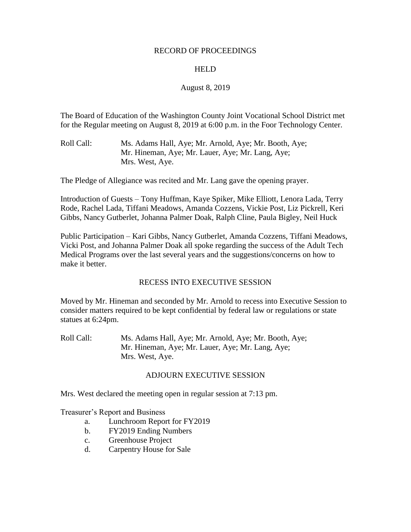### RECORD OF PROCEEDINGS

# HELD

### August 8, 2019

The Board of Education of the Washington County Joint Vocational School District met for the Regular meeting on August 8, 2019 at 6:00 p.m. in the Foor Technology Center.

Roll Call: Ms. Adams Hall, Aye; Mr. Arnold, Aye; Mr. Booth, Aye; Mr. Hineman, Aye; Mr. Lauer, Aye; Mr. Lang, Aye; Mrs. West, Aye.

The Pledge of Allegiance was recited and Mr. Lang gave the opening prayer.

Introduction of Guests – Tony Huffman, Kaye Spiker, Mike Elliott, Lenora Lada, Terry Rode, Rachel Lada, Tiffani Meadows, Amanda Cozzens, Vickie Post, Liz Pickrell, Keri Gibbs, Nancy Gutberlet, Johanna Palmer Doak, Ralph Cline, Paula Bigley, Neil Huck

Public Participation – Kari Gibbs, Nancy Gutberlet, Amanda Cozzens, Tiffani Meadows, Vicki Post, and Johanna Palmer Doak all spoke regarding the success of the Adult Tech Medical Programs over the last several years and the suggestions/concerns on how to make it better.

# RECESS INTO EXECUTIVE SESSION

Moved by Mr. Hineman and seconded by Mr. Arnold to recess into Executive Session to consider matters required to be kept confidential by federal law or regulations or state statues at 6:24pm.

Roll Call: Ms. Adams Hall, Aye; Mr. Arnold, Aye; Mr. Booth, Aye; Mr. Hineman, Aye; Mr. Lauer, Aye; Mr. Lang, Aye; Mrs. West, Aye.

# ADJOURN EXECUTIVE SESSION

Mrs. West declared the meeting open in regular session at 7:13 pm.

Treasurer's Report and Business

- a. Lunchroom Report for FY2019
- b. FY2019 Ending Numbers
- c. Greenhouse Project
- d. Carpentry House for Sale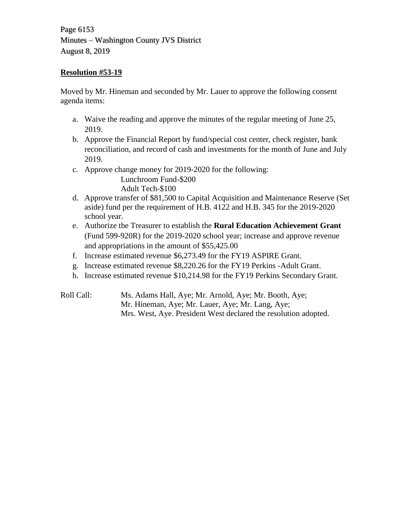Page 6153 Minutes – Washington County JVS District August 8, 2019

# **Resolution #53-19**

Moved by Mr. Hineman and seconded by Mr. Lauer to approve the following consent agenda items:

- a. Waive the reading and approve the minutes of the regular meeting of June 25, 2019.
- b. Approve the Financial Report by fund/special cost center, check register, bank reconciliation, and record of cash and investments for the month of June and July 2019.
- c. Approve change money for 2019-2020 for the following:

Lunchroom Fund-\$200 Adult Tech-\$100

- d. Approve transfer of \$81,500 to Capital Acquisition and Maintenance Reserve (Set aside) fund per the requirement of H.B. 4122 and H.B. 345 for the 2019-2020 school year.
- e. Authorize the Treasurer to establish the **Rural Education Achievement Grant** (Fund 599-920R) for the 2019-2020 school year; increase and approve revenue and appropriations in the amount of \$55,425.00
- f. Increase estimated revenue \$6,273.49 for the FY19 ASPIRE Grant.
- g. Increase estimated revenue \$8,220.26 for the FY19 Perkins -Adult Grant.
- h. Increase estimated revenue \$10,214.98 for the FY19 Perkins Secondary Grant.

Roll Call: Ms. Adams Hall, Aye; Mr. Arnold, Aye; Mr. Booth, Aye; Mr. Hineman, Aye; Mr. Lauer, Aye; Mr. Lang, Aye; Mrs. West, Aye. President West declared the resolution adopted.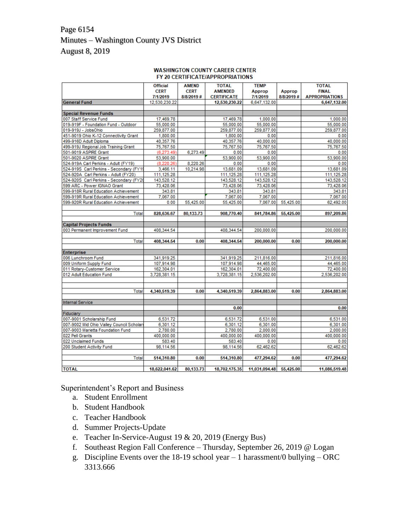# Page 6154 Minutes – Washington County JVS District August 8, 2019

#### **WASHINGTON COUNTY CAREER CENTER** FY 20 CERTIFICATE/APPROPRIATIONS

|                                          | <b>Official</b> | <b>AMEND</b> | <b>TOTAL</b>       | <b>TEMP</b>             |            | <b>TOTAL</b>          |
|------------------------------------------|-----------------|--------------|--------------------|-------------------------|------------|-----------------------|
|                                          | <b>CERT</b>     | <b>CERT</b>  | <b>AMENDED</b>     | Approp                  | Approp     | <b>FINAL</b>          |
|                                          | 7/1/2019        | 8/8/2019 #   | <b>CERTIFICATE</b> | 7/1/2019                | 8/8/2019 # | <b>APPROPRIATIONS</b> |
| <b>General Fund</b>                      | 12,530,230.22   |              | 12,530,230.22      | 6,647,132.00            |            | 6,647,132.00          |
|                                          |                 |              |                    |                         |            |                       |
| <b>Special Revenue Funds</b>             |                 |              |                    |                         |            |                       |
| 007 Staff Service Fund                   | 17,469.78       |              | 17,469.78          | 1,000.00                |            | 1,000.00              |
| 019-919F - Foundation Fund - Outdoor     | 55,000.00       |              | 55,000.00          | 55,000.00               |            | 55,000.00             |
| 019-919J - JobsOhio                      | 259,877.00      |              | 259,877.00         | 259.877.00              |            | 259.877.00            |
| 451-9019 Ohio K-12 Connectivity Grant    | 1,800.00        |              | 1,800.00           | 0.00                    |            | 0.00                  |
| 499-916D Adult Diploma                   | 40,357.76       |              | 40,357.76          | 40,000.00               |            | 40,000.00             |
| 499-919J Regional Job Training Grant     | 75,767.50       |              | 75,767.50          | 75,767.50               |            | 75,767.50             |
| 501-9019 ASPIRE Grant                    | (6.273.49)      | 6.273.49     | 0.00               | 0.00                    |            | 0.00                  |
| 501-9020 ASPIRE Grant                    | 53,900.00       |              | 53,900.00          | 53,900.00               |            | 53,900.00             |
| 524-919A Carl Perkins - Adult (FY19)     | (8.220.26)      | 8,220.26     | 0.00               | 0.00                    |            | 0.00                  |
| 524-919S Carl Perkins - Secondary (FY19  | 3,466.11        | 10,214.98    | 13,681.09          | 13,681.09               |            | 13,681.09             |
| 524-920A Carl Perkins - Adult (FY20)     | 111,125.28      |              | 111,125.28         | 111.125.28              |            | 111.125.28            |
| 524-920S Carl Perkins - Secondary (FY20  | 143,528.12      |              | 143,528.12         | 143,528.12              |            | 143,528.12            |
| 599 ARC - Power IGNAO Grant              | 73,428.06       |              | 73,428.06          | 73,428.06               |            | 73,428.06             |
| 599-918R Rural Education Achievement     | 343.81          |              | 343.81             | 343.81                  |            | 343.81                |
| 599-919R Rural Education Achievement     | 7.067.00        |              | 7.067.00           | 7.067.00                |            | 7.067.00              |
| 599-920R Rural Education Achievement     | 0.00            | 55,425.00    | 55,425.00          | 7,067.00                | 55,425.00  | 62,492.00             |
|                                          |                 |              |                    |                         |            |                       |
| Total                                    | 828,636.67      | 80,133.73    | 908,770.40         | 841,784.86              | 55,425.00  | 897,209.86            |
|                                          |                 |              |                    |                         |            |                       |
| <b>Capital Projects Funds</b>            |                 |              |                    |                         |            |                       |
| 003 Permanent Improvement Fund           | 408,344.54      |              | 408,344.54         | 200,000.00              |            | 200,000.00            |
|                                          |                 |              |                    |                         |            |                       |
| Total                                    | 408,344.54      | 0.00         | 408,344.54         | 200,000.00              | 0.00       | 200,000.00            |
|                                          |                 |              |                    |                         |            |                       |
| <b>Enterprise</b>                        |                 |              |                    |                         |            |                       |
| 006 Lunchroom Fund                       | 341,919.25      |              | 341,919.25         | 211,816.00              |            | 211,816.00            |
| 009 Uniform Supply Fund                  | 107,914.98      |              | 107,914.98         | 44,465.00               |            | 44,465.00             |
| 011 Rotary-Customer Service              | 162.304.01      |              | 162,304.01         | 72.400.00               |            | 72,400.00             |
| 012 Adult Education Fund                 | 3,728,381.15    |              | 3,728,381.15       | 2,536,202.00            |            | 2,536,202.00          |
|                                          |                 |              |                    |                         |            |                       |
|                                          |                 |              |                    |                         |            |                       |
| Total                                    | 4,340,519.39    | 0.00         | 4,340,519.39       | 2,864,883.00            | 0.00       | 2,864,883.00          |
|                                          |                 |              |                    |                         |            |                       |
| <b>Internal Service</b>                  |                 |              |                    |                         |            |                       |
|                                          |                 |              | 0.00               |                         |            | 0.00                  |
| Fiduciary                                |                 |              |                    |                         |            |                       |
| 007-9001 Scholarship Fund                | 6,531.72        |              | 6,531.72           | 6,531.00                |            | 6,531.00              |
| 007-9002 Mid Ohio Valley Council Scholar | 6,301.12        |              | 6,301.12           | 6,301.00                |            | 6,301.00              |
| 007-9003 Marietta Foundation Fund        | 2,780.00        |              | 2,780.00           | 2,000.00                |            | 2,000.00              |
| 022 Pell Grants                          | 400,000.00      |              | 400,000.00         | 400,000.00              |            | 400,000.00            |
| 022 Unclaimed Funds                      | 583.40          |              | 583.40             | 0.00                    |            | 0.00                  |
| 200 Student Activity Fund                | 98,114.56       |              | 98,114.56          | 62,462.62               |            | 62,462.62             |
|                                          |                 |              |                    |                         |            |                       |
| Total                                    | 514,310.80      | 0.00         | 514,310.80         | 477,294.62              | 0.00       | 477,294.62            |
|                                          |                 |              |                    |                         |            |                       |
| <b>TOTAL</b>                             | 18,622,041.62   | 80,133.73    | 18,702,175.35      | 11,031,094.48 55,425.00 |            | 11,086,519.48         |

Superintendent's Report and Business

- a. Student Enrollment
- b. Student Handbook
- c. Teacher Handbook
- d. Summer Projects-Update
- e. Teacher In-Service-August 19 & 20, 2019 (Energy Bus)
- f. Southeast Region Fall Conference Thursday, September 26, 2019 @ Logan
- g. Discipline Events over the 18-19 school year 1 harassment/0 bullying ORC 3313.666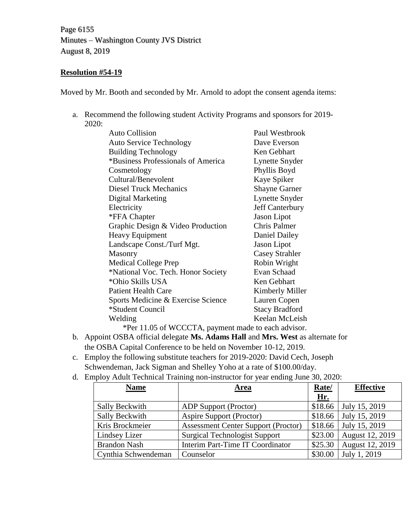Page 6155 Minutes – Washington County JVS District August 8, 2019

# **Resolution #54-19**

Moved by Mr. Booth and seconded by Mr. Arnold to adopt the consent agenda items:

a. Recommend the following student Activity Programs and sponsors for 2019- 2020:

| <b>Auto Collision</b>                               | Paul Westbrook        |
|-----------------------------------------------------|-----------------------|
| <b>Auto Service Technology</b>                      | Dave Everson          |
| <b>Building Technology</b>                          | Ken Gebhart           |
| *Business Professionals of America                  | Lynette Snyder        |
| Cosmetology                                         | Phyllis Boyd          |
| Cultural/Benevolent                                 | Kaye Spiker           |
| <b>Diesel Truck Mechanics</b>                       | <b>Shayne Garner</b>  |
| Digital Marketing                                   | Lynette Snyder        |
| Electricity                                         | Jeff Canterbury       |
| *FFA Chapter                                        | Jason Lipot           |
| Graphic Design & Video Production                   | <b>Chris Palmer</b>   |
| Heavy Equipment                                     | Daniel Dailey         |
| Landscape Const./Turf Mgt.                          | Jason Lipot           |
| Masonry                                             | <b>Casey Strahler</b> |
| <b>Medical College Prep</b>                         | Robin Wright          |
| *National Voc. Tech. Honor Society                  | Evan Schaad           |
| *Ohio Skills USA                                    | Ken Gebhart           |
| <b>Patient Health Care</b>                          | Kimberly Miller       |
| Sports Medicine & Exercise Science                  | Lauren Copen          |
| *Student Council                                    | <b>Stacy Bradford</b> |
| Welding                                             | Keelan McLeish        |
| *Per 11.05 of WCCCTA, payment made to each advisor. |                       |

- b. Appoint OSBA official delegate **Ms. Adams Hall** and **Mrs. West** as alternate for the OSBA Capital Conference to be held on November 10-12, 2019.
- c. Employ the following substitute teachers for 2019-2020: David Cech, Joseph Schwendeman, Jack Sigman and Shelley Yoho at a rate of \$100.00/day.
- d. Employ Adult Technical Training non-instructor for year ending June 30, 2020:

| <b>Name</b>         | <b>Area</b>                                | Rate/   | <b>Effective</b>       |
|---------------------|--------------------------------------------|---------|------------------------|
|                     |                                            | Hr.     |                        |
| Sally Beckwith      | <b>ADP</b> Support (Proctor)               |         | $$18.66$ July 15, 2019 |
| Sally Beckwith      | Aspire Support (Proctor)                   |         | $$18.66$ July 15, 2019 |
| Kris Brockmeier     | <b>Assessment Center Support (Proctor)</b> |         | $$18.66$ July 15, 2019 |
| Lindsey Lizer       | <b>Surgical Technologist Support</b>       | \$23.00 | August 12, 2019        |
| <b>Brandon Nash</b> | Interim Part-Time IT Coordinator           | \$25.30 | August 12, 2019        |
| Cynthia Schwendeman | Counselor                                  | \$30.00 | July 1, 2019           |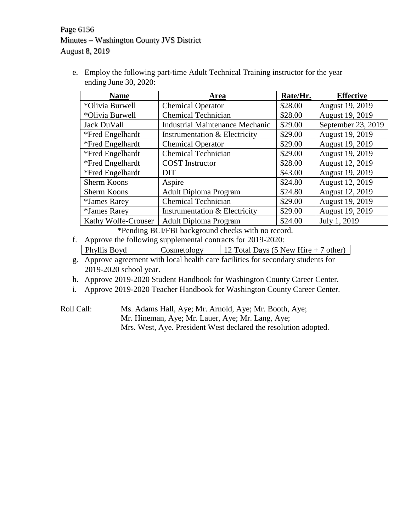Page 6156 Minutes – Washington County JVS District August 8, 2019

e. Employ the following part-time Adult Technical Training instructor for the year ending June 30, 2020:

| <b>Name</b>         | Area                                     | Rate/Hr. | <b>Effective</b>   |  |
|---------------------|------------------------------------------|----------|--------------------|--|
| *Olivia Burwell     | <b>Chemical Operator</b>                 | \$28.00  | August 19, 2019    |  |
| *Olivia Burwell     | <b>Chemical Technician</b>               | \$28.00  | August 19, 2019    |  |
| Jack DuVall         | <b>Industrial Maintenance Mechanic</b>   | \$29.00  | September 23, 2019 |  |
| *Fred Engelhardt    | <b>Instrumentation &amp; Electricity</b> | \$29.00  | August 19, 2019    |  |
| *Fred Engelhardt    | <b>Chemical Operator</b>                 | \$29.00  | August 19, 2019    |  |
| *Fred Engelhardt    | <b>Chemical Technician</b>               | \$29.00  | August 19, 2019    |  |
| *Fred Engelhardt    | <b>COST</b> Instructor                   | \$28.00  | August 12, 2019    |  |
| *Fred Engelhardt    | <b>DIT</b>                               | \$43.00  | August 19, 2019    |  |
| <b>Sherm Koons</b>  | Aspire                                   | \$24.80  | August 12, 2019    |  |
| <b>Sherm Koons</b>  | Adult Diploma Program                    | \$24.80  | August 12, 2019    |  |
| <i>*James Rarey</i> | <b>Chemical Technician</b>               | \$29.00  | August 19, 2019    |  |
| <i>*James Rarey</i> | Instrumentation & Electricity            | \$29.00  | August 19, 2019    |  |
| Kathy Wolfe-Crouser | Adult Diploma Program                    | \$24.00  | July 1, 2019       |  |

\*Pending BCI/FBI background checks with no record.

f. Approve the following supplemental contracts for 2019-2020:

Phyllis Boyd Cosmetology 12 Total Days (5 New Hire + 7 other)

g. Approve agreement with local health care facilities for secondary students for 2019-2020 school year.

- h. Approve 2019-2020 Student Handbook for Washington County Career Center.
- i. Approve 2019-2020 Teacher Handbook for Washington County Career Center.

Roll Call: Ms. Adams Hall, Aye; Mr. Arnold, Aye; Mr. Booth, Aye; Mr. Hineman, Aye; Mr. Lauer, Aye; Mr. Lang, Aye; Mrs. West, Aye. President West declared the resolution adopted.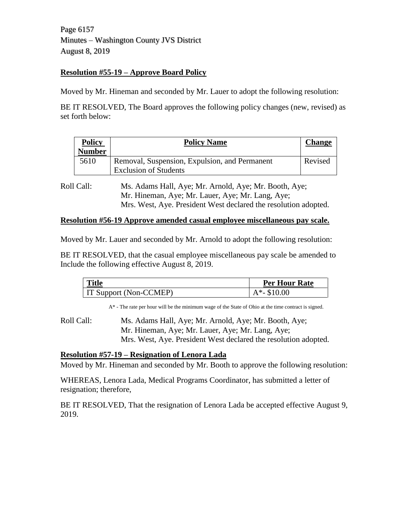Page 6157 Minutes – Washington County JVS District August 8, 2019

# **Resolution #55-19 – Approve Board Policy**

Moved by Mr. Hineman and seconded by Mr. Lauer to adopt the following resolution:

BE IT RESOLVED, The Board approves the following policy changes (new, revised) as set forth below:

| <b>Policy</b><br><b>Number</b> | <b>Policy Name</b>                                                            | Change  |
|--------------------------------|-------------------------------------------------------------------------------|---------|
| 5610                           | Removal, Suspension, Expulsion, and Permanent<br><b>Exclusion of Students</b> | Revised |

| Roll Call: | Ms. Adams Hall, Aye; Mr. Arnold, Aye; Mr. Booth, Aye;           |
|------------|-----------------------------------------------------------------|
|            | Mr. Hineman, Aye; Mr. Lauer, Aye; Mr. Lang, Aye;                |
|            | Mrs. West, Aye. President West declared the resolution adopted. |

### **Resolution #56-19 Approve amended casual employee miscellaneous pay scale.**

Moved by Mr. Lauer and seconded by Mr. Arnold to adopt the following resolution:

BE IT RESOLVED, that the casual employee miscellaneous pay scale be amended to Include the following effective August 8, 2019.

| <b>Title</b>                  | <b>Per Hour Rate</b> |
|-------------------------------|----------------------|
| <b>IT Support (Non-CCMEP)</b> | $A*-$10.00$          |

A\* - The rate per hour will be the minimum wage of the State of Ohio at the time contract is signed.

Roll Call: Ms. Adams Hall, Aye; Mr. Arnold, Aye; Mr. Booth, Aye; Mr. Hineman, Aye; Mr. Lauer, Aye; Mr. Lang, Aye; Mrs. West, Aye. President West declared the resolution adopted.

# **Resolution #57-19 – Resignation of Lenora Lada**

Moved by Mr. Hineman and seconded by Mr. Booth to approve the following resolution:

WHEREAS, Lenora Lada, Medical Programs Coordinator, has submitted a letter of resignation; therefore,

BE IT RESOLVED, That the resignation of Lenora Lada be accepted effective August 9, 2019.